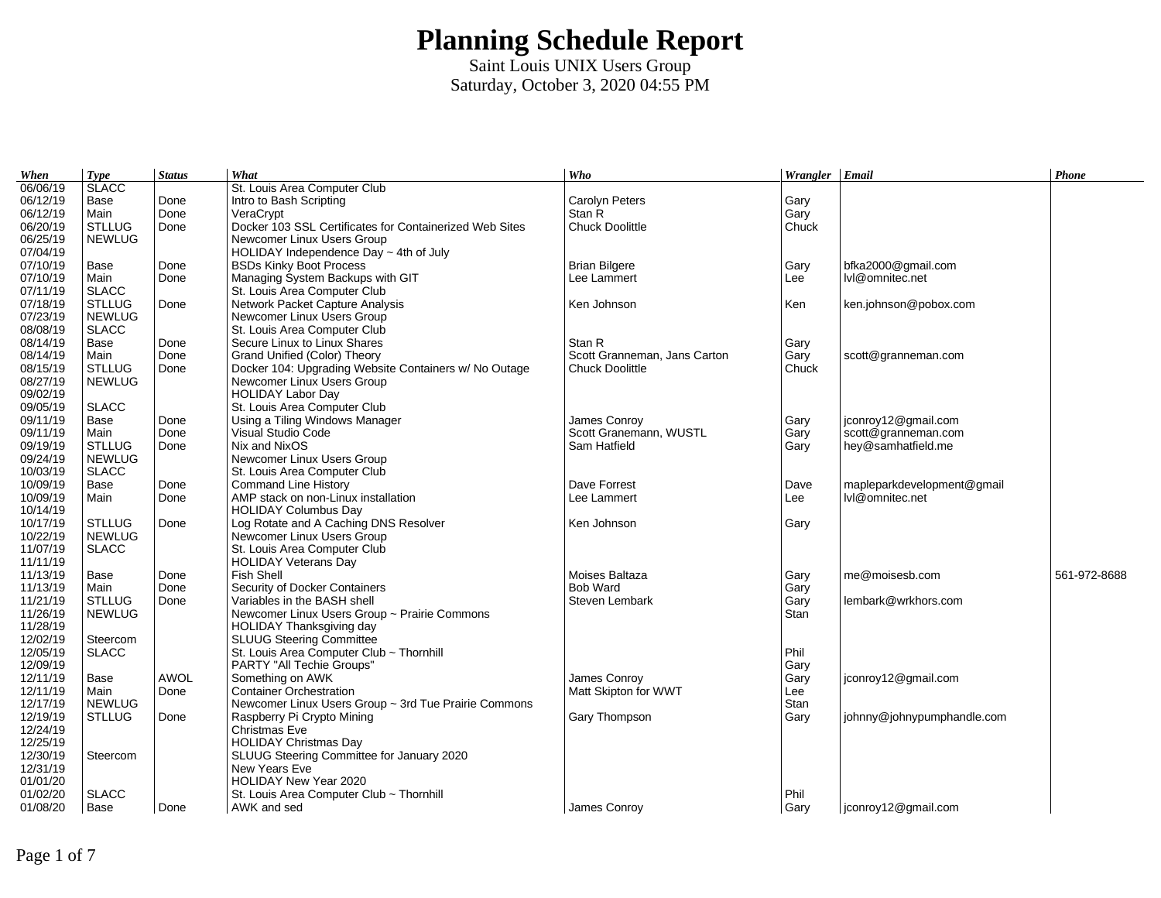| When                 | <b>Type</b>              | <b>Status</b> | What                                                    | Who                                  | Wrangler Email      |                            | Phone        |
|----------------------|--------------------------|---------------|---------------------------------------------------------|--------------------------------------|---------------------|----------------------------|--------------|
| 06/06/19             | <b>SLACC</b>             |               | St. Louis Area Computer Club                            |                                      |                     |                            |              |
| 06/12/19             | Base                     | Done          | Intro to Bash Scripting                                 | <b>Carolyn Peters</b>                | Gary                |                            |              |
| 06/12/19             | Main                     | Done          | VeraCrypt                                               | Stan R                               | Gary                |                            |              |
| 06/20/19             | <b>STLLUG</b>            | Done          | Docker 103 SSL Certificates for Containerized Web Sites | <b>Chuck Doolittle</b>               | Chuck               |                            |              |
| 06/25/19             | <b>NEWLUG</b>            |               | Newcomer Linux Users Group                              |                                      |                     |                            |              |
| 07/04/19             |                          |               | HOLIDAY Independence Day $\sim$ 4th of July             |                                      |                     |                            |              |
| 07/10/19             | Base                     | Done          | <b>BSDs Kinky Boot Process</b>                          | <b>Brian Bilgere</b>                 | Gary                | bfka2000@gmail.com         |              |
| 07/10/19             | Main                     | Done          | Managing System Backups with GIT                        | Lee Lammert                          | Lee                 | lvl@omnitec.net            |              |
| 07/11/19             | <b>SLACC</b>             |               | St. Louis Area Computer Club                            |                                      |                     |                            |              |
| 07/18/19             | <b>STLLUG</b>            | Done          | Network Packet Capture Analysis                         | Ken Johnson                          | Ken                 | ken.johnson@pobox.com      |              |
| 07/23/19             | <b>NEWLUG</b>            |               | Newcomer Linux Users Group                              |                                      |                     |                            |              |
| 08/08/19             | <b>SLACC</b>             |               | St. Louis Area Computer Club                            |                                      |                     |                            |              |
| 08/14/19             | Base                     | Done          | Secure Linux to Linux Shares                            | Stan R                               | Gary                |                            |              |
| 08/14/19             | Main                     | Done          | Grand Unified (Color) Theory                            | Scott Granneman, Jans Carton         | Gary                | scott@granneman.com        |              |
| 08/15/19             | <b>STLLUG</b>            | Done          | Docker 104: Upgrading Website Containers w/ No Outage   | <b>Chuck Doolittle</b>               | Chuck               |                            |              |
| 08/27/19             | <b>NEWLUG</b>            |               | Newcomer Linux Users Group                              |                                      |                     |                            |              |
| 09/02/19             |                          |               | <b>HOLIDAY Labor Day</b>                                |                                      |                     |                            |              |
| 09/05/19             | <b>SLACC</b>             |               | St. Louis Area Computer Club                            |                                      |                     |                            |              |
| 09/11/19             | Base                     | Done          | Using a Tiling Windows Manager                          | James Conroy                         | Gary                | jconroy12@gmail.com        |              |
| 09/11/19             | Main                     | Done          | Visual Studio Code                                      | Scott Granemann, WUSTL               | Gary                | scott@granneman.com        |              |
| 09/19/19             | <b>STLLUG</b>            | Done          | Nix and NixOS                                           | Sam Hatfield                         | Gary                | hey@samhatfield.me         |              |
| 09/24/19             | <b>NEWLUG</b>            |               | Newcomer Linux Users Group                              |                                      |                     |                            |              |
| 10/03/19             | <b>SLACC</b>             |               | St. Louis Area Computer Club                            |                                      |                     |                            |              |
| 10/09/19             | Base                     | Done          | <b>Command Line History</b>                             | Dave Forrest                         | Dave                | mapleparkdevelopment@gmail |              |
| 10/09/19             | Main                     | Done          | AMP stack on non-Linux installation                     | Lee Lammert                          | Lee                 | lvl@omnitec.net            |              |
| 10/14/19             |                          |               | <b>HOLIDAY Columbus Day</b>                             |                                      |                     |                            |              |
| 10/17/19             | <b>STLLUG</b>            | Done          | Log Rotate and A Caching DNS Resolver                   | Ken Johnson                          | Gary                |                            |              |
| 10/22/19             | <b>NEWLUG</b>            |               | Newcomer Linux Users Group                              |                                      |                     |                            |              |
| 11/07/19             | <b>SLACC</b>             |               | St. Louis Area Computer Club                            |                                      |                     |                            |              |
| 11/11/19             |                          |               | <b>HOLIDAY Veterans Day</b>                             |                                      |                     |                            |              |
| 11/13/19             | Base                     | Done          | <b>Fish Shell</b>                                       | Moises Baltaza                       | Gary                | me@moisesb.com             | 561-972-8688 |
| 11/13/19             | Main                     | Done          | Security of Docker Containers                           | <b>Bob Ward</b>                      | Gary                |                            |              |
| 11/21/19             | <b>STLLUG</b>            | Done          | Variables in the BASH shell                             | Steven Lembark                       |                     | lembark@wrkhors.com        |              |
| 11/26/19             | <b>NEWLUG</b>            |               | Newcomer Linux Users Group ~ Prairie Commons            |                                      | Gary<br><b>Stan</b> |                            |              |
| 11/28/19             |                          |               | <b>HOLIDAY Thanksgiving day</b>                         |                                      |                     |                            |              |
| 12/02/19             |                          |               | <b>SLUUG Steering Committee</b>                         |                                      |                     |                            |              |
| 12/05/19             | Steercom<br><b>SLACC</b> |               | St. Louis Area Computer Club ~ Thornhill                |                                      | Phil                |                            |              |
|                      |                          |               |                                                         |                                      |                     |                            |              |
| 12/09/19<br>12/11/19 |                          | <b>AWOL</b>   | PARTY "All Techie Groups"                               |                                      | Gary                |                            |              |
| 12/11/19             | Base                     |               | Something on AWK<br><b>Container Orchestration</b>      | James Conroy<br>Matt Skipton for WWT | Gary                | jconroy12@gmail.com        |              |
|                      | Main                     | Done          |                                                         |                                      | Lee                 |                            |              |
| 12/17/19             | <b>NEWLUG</b>            |               | Newcomer Linux Users Group ~ 3rd Tue Prairie Commons    |                                      | Stan                |                            |              |
| 12/19/19             | <b>STLLUG</b>            | Done          | Raspberry Pi Crypto Mining<br>Christmas Eve             | Gary Thompson                        | Gary                | johnny@johnypumphandle.com |              |
| 12/24/19             |                          |               |                                                         |                                      |                     |                            |              |
| 12/25/19             |                          |               | <b>HOLIDAY Christmas Day</b>                            |                                      |                     |                            |              |
| 12/30/19             | Steercom                 |               | SLUUG Steering Committee for January 2020               |                                      |                     |                            |              |
| 12/31/19             |                          |               | New Years Eve                                           |                                      |                     |                            |              |
| 01/01/20             |                          |               | HOLIDAY New Year 2020                                   |                                      |                     |                            |              |
| 01/02/20             | <b>SLACC</b>             |               | St. Louis Area Computer Club ~ Thornhill                |                                      | Phil                |                            |              |
| 01/08/20             | Base                     | Done          | AWK and sed                                             | James Conroy                         | Gary                | jconroy12@gmail.com        |              |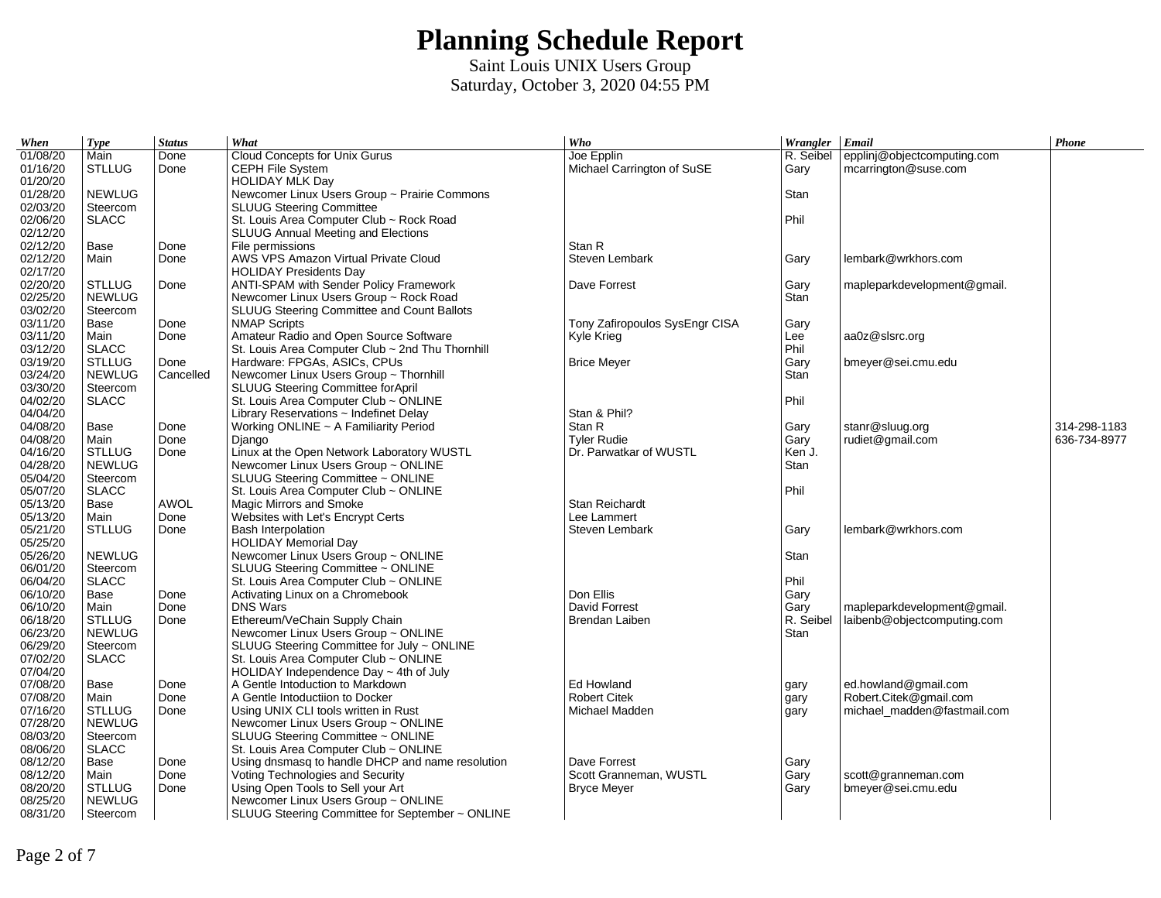| When                 | <b>Type</b>                    | <b>Status</b> | What                                                                 | Who                             | Wrangler Email    |                             | Phone        |
|----------------------|--------------------------------|---------------|----------------------------------------------------------------------|---------------------------------|-------------------|-----------------------------|--------------|
| 01/08/20             | Main                           | Done          | Cloud Concepts for Unix Gurus                                        | Joe Epplin                      | R. Seibel         | epplinj@objectcomputing.com |              |
| 01/16/20             | <b>STLLUG</b>                  | Done          | CEPH File System                                                     | Michael Carrington of SuSE      | Gary              | mcarrington@suse.com        |              |
| 01/20/20             |                                |               | <b>HOLIDAY MLK Day</b>                                               |                                 |                   |                             |              |
| 01/28/20             | <b>NEWLUG</b>                  |               | Newcomer Linux Users Group ~ Prairie Commons                         |                                 | Stan              |                             |              |
| 02/03/20             | Steercom                       |               | <b>SLUUG Steering Committee</b>                                      |                                 |                   |                             |              |
| 02/06/20             | <b>SLACC</b>                   |               | St. Louis Area Computer Club ~ Rock Road                             |                                 | Phil              |                             |              |
| 02/12/20             |                                |               | SLUUG Annual Meeting and Elections                                   |                                 |                   |                             |              |
| 02/12/20             | Base                           | Done          | File permissions                                                     | Stan R                          |                   |                             |              |
| 02/12/20             | Main                           | Done          | AWS VPS Amazon Virtual Private Cloud                                 | Steven Lembark                  | Gary              | lembark@wrkhors.com         |              |
| 02/17/20             |                                |               | <b>HOLIDAY Presidents Day</b>                                        |                                 |                   |                             |              |
| 02/20/20             | <b>STLLUG</b>                  | Done          | ANTI-SPAM with Sender Policy Framework                               | Dave Forrest                    | Gary              | mapleparkdevelopment@gmail. |              |
| 02/25/20             | <b>NEWLUG</b>                  |               | Newcomer Linux Users Group ~ Rock Road                               |                                 | Stan              |                             |              |
| 03/02/20             | Steercom                       |               | SLUUG Steering Committee and Count Ballots                           |                                 |                   |                             |              |
| 03/11/20             | Base                           | Done          | <b>NMAP Scripts</b>                                                  | Tony Zafiropoulos SysEngr CISA  | Gary              |                             |              |
| 03/11/20             | Main                           | Done          | Amateur Radio and Open Source Software                               | Kyle Krieg                      | Lee               | aa0z@slsrc.org              |              |
| 03/12/20             | <b>SLACC</b>                   |               | St. Louis Area Computer Club ~ 2nd Thu Thornhill                     |                                 | Phil              |                             |              |
| 03/19/20             | <b>STLLUG</b>                  | Done          | Hardware: FPGAs, ASICs, CPUs                                         | <b>Brice Meyer</b>              | Gary              | bmeyer@sei.cmu.edu          |              |
| 03/24/20             | <b>NEWLUG</b>                  | Cancelled     | Newcomer Linux Users Group ~ Thornhill                               |                                 | Stan              |                             |              |
| 03/30/20             | Steercom                       |               | SLUUG Steering Committee forApril                                    |                                 |                   |                             |              |
| 04/02/20             | <b>SLACC</b>                   |               | St. Louis Area Computer Club ~ ONLINE                                |                                 | Phil              |                             |              |
| 04/04/20             |                                |               | Library Reservations $\sim$ Indefinet Delay                          | Stan & Phil?                    |                   |                             |              |
| 04/08/20             | Base                           | Done          | Working ONLINE ~ A Familiarity Period                                | Stan R                          | Gary              | stanr@sluug.org             | 314-298-1183 |
| 04/08/20             | Main                           | Done          | <b>Django</b>                                                        | <b>Tyler Rudie</b>              | Gary              | rudiet@gmail.com            | 636-734-8977 |
| 04/16/20             | <b>STLLUG</b>                  | Done          | Linux at the Open Network Laboratory WUSTL                           | Dr. Parwatkar of WUSTL          | Ken J.            |                             |              |
| 04/28/20             | <b>NEWLUG</b>                  |               | Newcomer Linux Users Group ~ ONLINE                                  |                                 | Stan              |                             |              |
| 05/04/20             | Steercom                       |               | SLUUG Steering Committee ~ ONLINE                                    |                                 |                   |                             |              |
| 05/07/20             | <b>SLACC</b>                   |               | St. Louis Area Computer Club ~ ONLINE                                |                                 | Phil              |                             |              |
| 05/13/20             | Base                           | <b>AWOL</b>   | Magic Mirrors and Smoke                                              | Stan Reichardt                  |                   |                             |              |
| 05/13/20             | Main                           | Done          | Websites with Let's Encrypt Certs                                    | Lee Lammert                     |                   |                             |              |
| 05/21/20             | <b>STLLUG</b>                  | Done          | <b>Bash Interpolation</b>                                            | Steven Lembark                  | Gary              | lembark@wrkhors.com         |              |
| 05/25/20             |                                |               | <b>HOLIDAY Memorial Day</b>                                          |                                 |                   |                             |              |
| 05/26/20             | <b>NEWLUG</b>                  |               | Newcomer Linux Users Group ~ ONLINE                                  |                                 | Stan              |                             |              |
| 06/01/20             | Steercom                       |               | SLUUG Steering Committee ~ ONLINE                                    |                                 |                   |                             |              |
| 06/04/20             | <b>SLACC</b>                   |               | St. Louis Area Computer Club ~ ONLINE                                |                                 | Phil              |                             |              |
| 06/10/20             | Base                           | Done          | Activating Linux on a Chromebook                                     | Don Ellis                       | Gary              |                             |              |
| 06/10/20<br>06/18/20 | Main                           | Done          | <b>DNS Wars</b>                                                      | David Forrest<br>Brendan Laiben | Gary<br>R. Seibel | mapleparkdevelopment@gmail. |              |
| 06/23/20             | <b>STLLUG</b><br><b>NEWLUG</b> | Done          | Ethereum/VeChain Supply Chain<br>Newcomer Linux Users Group ~ ONLINE |                                 | Stan              | laibenb@objectcomputing.com |              |
| 06/29/20             | Steercom                       |               | SLUUG Steering Committee for July ~ ONLINE                           |                                 |                   |                             |              |
| 07/02/20             | <b>SLACC</b>                   |               | St. Louis Area Computer Club ~ ONLINE                                |                                 |                   |                             |              |
| 07/04/20             |                                |               | HOLIDAY Independence Day $\sim$ 4th of July                          |                                 |                   |                             |              |
| 07/08/20             | Base                           | Done          | A Gentle Intoduction to Markdown                                     | Ed Howland                      | gary              | ed.howland@gmail.com        |              |
| 07/08/20             | Main                           | Done          | A Gentle Intoductiion to Docker                                      | <b>Robert Citek</b>             | gary              | Robert.Citek@gmail.com      |              |
| 07/16/20             | <b>STLLUG</b>                  | Done          | Using UNIX CLI tools written in Rust                                 | Michael Madden                  | gary              | michael madden@fastmail.com |              |
| 07/28/20             | <b>NEWLUG</b>                  |               | Newcomer Linux Users Group ~ ONLINE                                  |                                 |                   |                             |              |
| 08/03/20             | Steercom                       |               | SLUUG Steering Committee ~ ONLINE                                    |                                 |                   |                             |              |
| 08/06/20             | <b>SLACC</b>                   |               | St. Louis Area Computer Club ~ ONLINE                                |                                 |                   |                             |              |
| 08/12/20             | Base                           | Done          | Using dnsmasq to handle DHCP and name resolution                     | Dave Forrest                    | Gary              |                             |              |
| 08/12/20             | Main                           | Done          | Voting Technologies and Security                                     | Scott Granneman, WUSTL          | Gary              | scott@granneman.com         |              |
| 08/20/20             | <b>STLLUG</b>                  | Done          | Using Open Tools to Sell your Art                                    | <b>Bryce Meyer</b>              | Gary              | bmeyer@sei.cmu.edu          |              |
| 08/25/20             | <b>NEWLUG</b>                  |               | Newcomer Linux Users Group ~ ONLINE                                  |                                 |                   |                             |              |
| 08/31/20             | Steercom                       |               | SLUUG Steering Committee for September ~ ONLINE                      |                                 |                   |                             |              |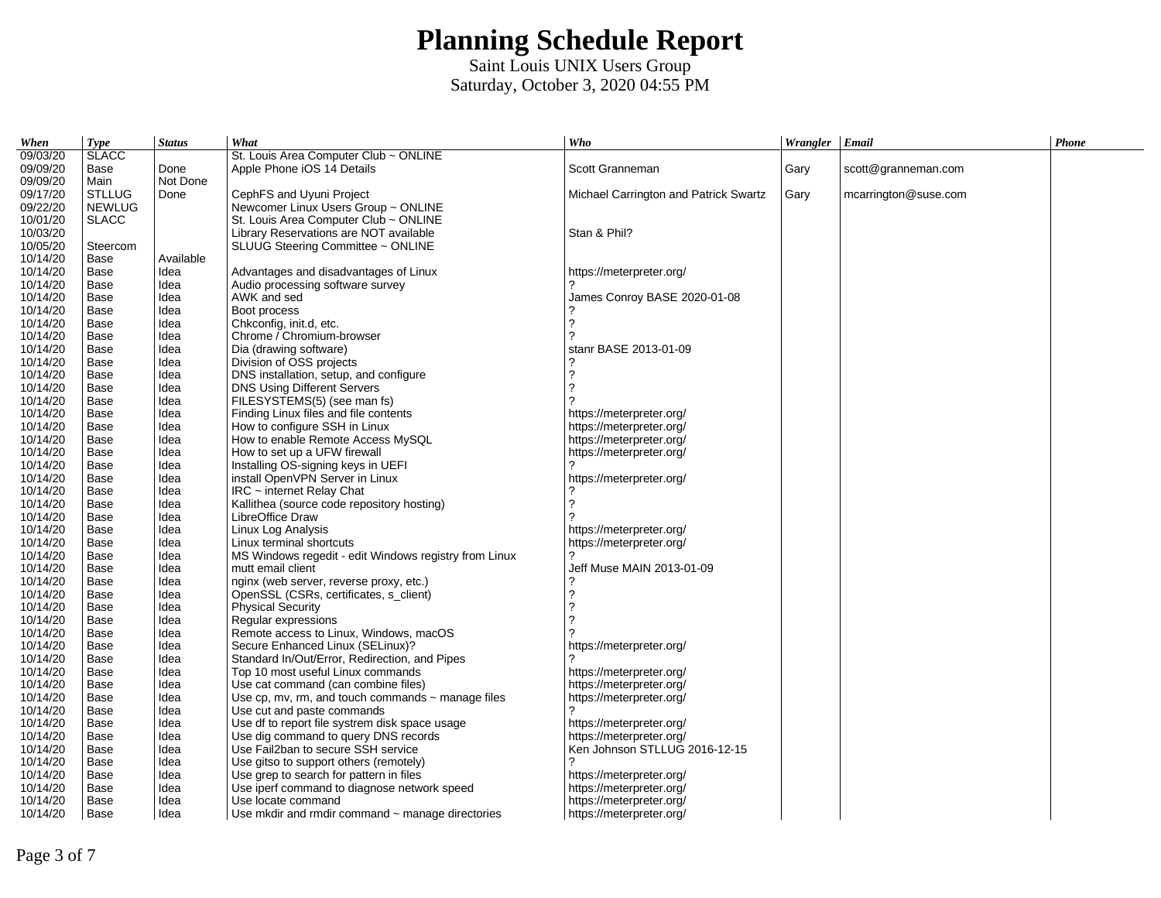| When                 | Type          | <b>Status</b> | What                                                                                   | Who                                                       | Wrangler Email |                      | Phone |
|----------------------|---------------|---------------|----------------------------------------------------------------------------------------|-----------------------------------------------------------|----------------|----------------------|-------|
| 09/03/20             | <b>SLACC</b>  |               | St. Louis Area Computer Club ~ ONLINE                                                  |                                                           |                |                      |       |
| 09/09/20             | Base          | Done          | Apple Phone iOS 14 Details                                                             | Scott Granneman                                           | Gary           | scott@granneman.com  |       |
| 09/09/20             | Main          | Not Done      |                                                                                        |                                                           |                |                      |       |
| 09/17/20             | <b>STLLUG</b> | Done          | CephFS and Uyuni Project                                                               | Michael Carrington and Patrick Swartz                     | Gary           | mcarrington@suse.com |       |
| 09/22/20             | <b>NEWLUG</b> |               | Newcomer Linux Users Group ~ ONLINE                                                    |                                                           |                |                      |       |
| 10/01/20             | <b>SLACC</b>  |               | St. Louis Area Computer Club ~ ONLINE                                                  |                                                           |                |                      |       |
| 10/03/20             |               |               | Library Reservations are NOT available                                                 | Stan & Phil?                                              |                |                      |       |
| 10/05/20             | Steercom      |               | SLUUG Steering Committee ~ ONLINE                                                      |                                                           |                |                      |       |
| 10/14/20             | Base          | Available     |                                                                                        |                                                           |                |                      |       |
| 10/14/20             | Base          | Idea          | Advantages and disadvantages of Linux                                                  | https://meterpreter.org/                                  |                |                      |       |
| 10/14/20             | Base          | Idea          | Audio processing software survey                                                       |                                                           |                |                      |       |
| 10/14/20             | Base          | Idea          | AWK and sed                                                                            | James Conroy BASE 2020-01-08                              |                |                      |       |
| 10/14/20             | Base          | Idea          | Boot process                                                                           |                                                           |                |                      |       |
| 10/14/20             | Base          | Idea          | Chkconfig, init.d, etc.                                                                | 2                                                         |                |                      |       |
| 10/14/20             | Base          | Idea          | Chrome / Chromium-browser                                                              | っ                                                         |                |                      |       |
| 10/14/20             | Base          | Idea          | Dia (drawing software)                                                                 | stanr BASE 2013-01-09                                     |                |                      |       |
| 10/14/20             | Base          | Idea          | Division of OSS projects                                                               |                                                           |                |                      |       |
| 10/14/20             | Base          | Idea          | DNS installation, setup, and configure                                                 | 2                                                         |                |                      |       |
| 10/14/20             | Base          | Idea          | DNS Using Different Servers                                                            | 2                                                         |                |                      |       |
| 10/14/20             | Base          | Idea          | FILESYSTEMS(5) (see man fs)                                                            |                                                           |                |                      |       |
| 10/14/20             | Base          | Idea          | Finding Linux files and file contents                                                  | https://meterpreter.org/                                  |                |                      |       |
| 10/14/20             | Base          | Idea          | How to configure SSH in Linux                                                          | https://meterpreter.org/                                  |                |                      |       |
| 10/14/20             | Base          | Idea          | How to enable Remote Access MySOL                                                      | https://meterpreter.org/                                  |                |                      |       |
| 10/14/20             | Base          | Idea          | How to set up a UFW firewall                                                           | https://meterpreter.org/                                  |                |                      |       |
| 10/14/20             | Base          | Idea          | Installing OS-signing keys in UEFI                                                     |                                                           |                |                      |       |
| 10/14/20             | Base          | Idea          | install OpenVPN Server in Linux                                                        | https://meterpreter.org/                                  |                |                      |       |
| 10/14/20             | Base          | Idea          | IRC ~ internet Relay Chat                                                              |                                                           |                |                      |       |
| 10/14/20             | Base          | Idea          | Kallithea (source code repository hosting)                                             | 2                                                         |                |                      |       |
| 10/14/20             | Base          | Idea          | LibreOffice Draw                                                                       |                                                           |                |                      |       |
| 10/14/20             | Base          | Idea          | Linux Log Analysis                                                                     | https://meterpreter.org/                                  |                |                      |       |
| 10/14/20             | Base          | Idea          | Linux terminal shortcuts                                                               | https://meterpreter.org/                                  |                |                      |       |
| 10/14/20             | Base          | Idea          | MS Windows regedit - edit Windows registry from Linux                                  |                                                           |                |                      |       |
| 10/14/20             | Base          | Idea          | mutt email client                                                                      | Jeff Muse MAIN 2013-01-09                                 |                |                      |       |
| 10/14/20             | Base          | Idea          | nginx (web server, reverse proxy, etc.)                                                |                                                           |                |                      |       |
| 10/14/20             | Base          | Idea          | OpenSSL (CSRs, certificates, s client)                                                 | 2                                                         |                |                      |       |
| 10/14/20             | Base          | Idea          | <b>Physical Security</b>                                                               | 2                                                         |                |                      |       |
| 10/14/20             | Base          | Idea          | Regular expressions                                                                    |                                                           |                |                      |       |
| 10/14/20             | Base          | Idea          | Remote access to Linux, Windows, macOS                                                 |                                                           |                |                      |       |
| 10/14/20             | Base          | Idea          | Secure Enhanced Linux (SELinux)?                                                       | https://meterpreter.org/                                  |                |                      |       |
| 10/14/20             | Base          | Idea          | Standard In/Out/Error, Redirection, and Pipes                                          |                                                           |                |                      |       |
| 10/14/20             | Base          | Idea          | Top 10 most useful Linux commands                                                      | https://meterpreter.org/                                  |                |                      |       |
| 10/14/20             | Base          | Idea          | Use cat command (can combine files)                                                    | https://meterpreter.org/                                  |                |                      |       |
| 10/14/20             | Base          | Idea          | Use cp, mv, rm, and touch commands $\sim$ manage files                                 | https://meterpreter.org/                                  |                |                      |       |
| 10/14/20<br>10/14/20 | Base          | Idea<br>Idea  | Use cut and paste commands                                                             |                                                           |                |                      |       |
|                      | Base          |               | Use df to report file systrem disk space usage<br>Use dig command to query DNS records | https://meterpreter.org/                                  |                |                      |       |
| 10/14/20<br>10/14/20 | Base<br>Base  | Idea          | Use Fail2ban to secure SSH service                                                     | https://meterpreter.org/<br>Ken Johnson STLLUG 2016-12-15 |                |                      |       |
| 10/14/20             | Base          | Idea<br>Idea  | Use gitso to support others (remotely)                                                 | $\mathcal{P}$                                             |                |                      |       |
| 10/14/20             | Base          | Idea          | Use grep to search for pattern in files                                                | https://meterpreter.org/                                  |                |                      |       |
| 10/14/20             | Base          | Idea          | Use iperf command to diagnose network speed                                            | https://meterpreter.org/                                  |                |                      |       |
| 10/14/20             | Base          | Idea          | Use locate command                                                                     | https://meterpreter.org/                                  |                |                      |       |
| 10/14/20             | Base          | Idea          | Use mkdir and rmdir command ~ manage directories                                       | https://meterpreter.org/                                  |                |                      |       |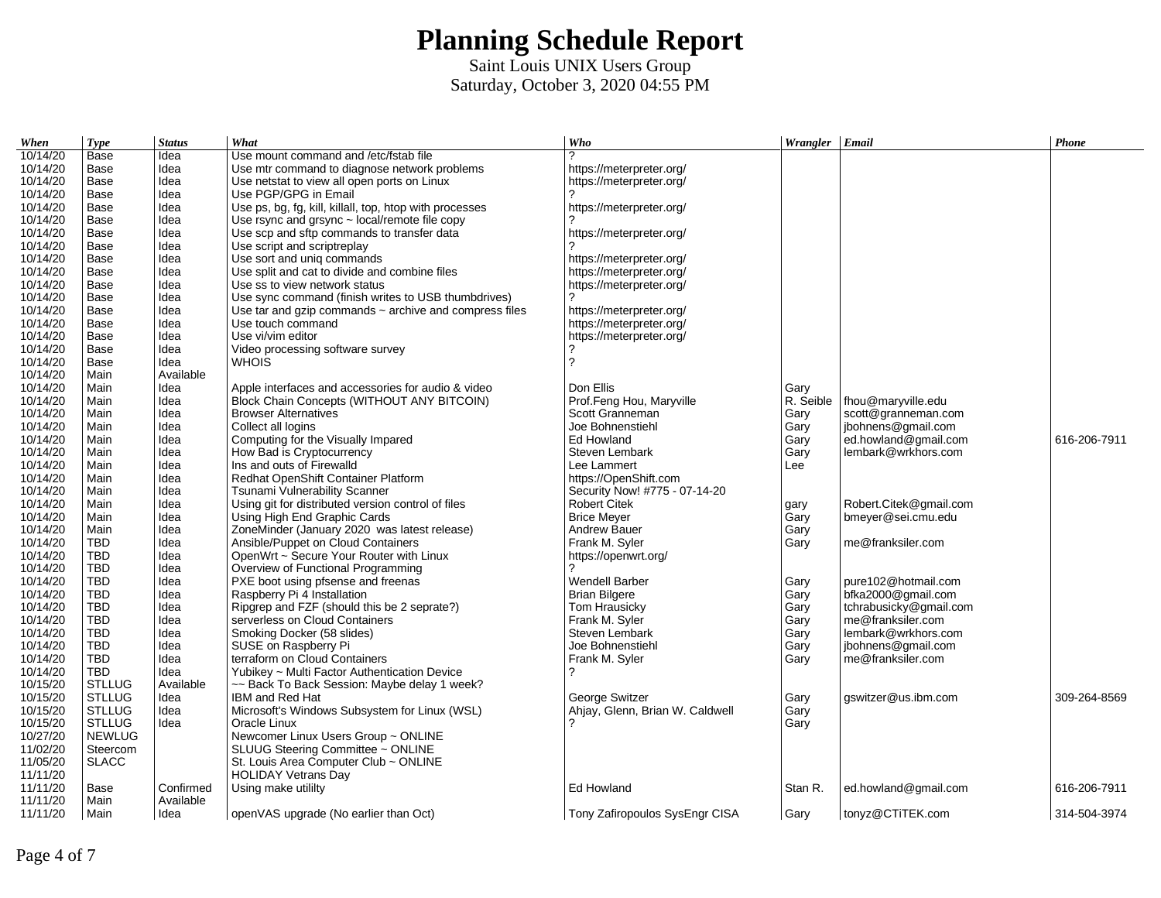| When     | <b>Type</b>   | <b>Status</b> | What                                                        | Who                             | Wrangler Email |                        | Phone        |
|----------|---------------|---------------|-------------------------------------------------------------|---------------------------------|----------------|------------------------|--------------|
| 10/14/20 | Base          | Idea          | Use mount command and /etc/fstab file                       | 2                               |                |                        |              |
| 10/14/20 | Base          | Idea          | Use mtr command to diagnose network problems                | https://meterpreter.org/        |                |                        |              |
| 10/14/20 | Base          | Idea          | Use netstat to view all open ports on Linux                 | https://meterpreter.org/        |                |                        |              |
| 10/14/20 | Base          | Idea          | Use PGP/GPG in Email                                        |                                 |                |                        |              |
| 10/14/20 | Base          | Idea          | Use ps, bg, fg, kill, killall, top, htop with processes     | https://meterpreter.org/        |                |                        |              |
| 10/14/20 | Base          | Idea          | Use rsync and grsync $\sim$ local/remote file copy          |                                 |                |                        |              |
| 10/14/20 | Base          | Idea          | Use scp and sftp commands to transfer data                  | https://meterpreter.org/        |                |                        |              |
| 10/14/20 | Base          | Idea          | Use script and scriptreplay                                 |                                 |                |                        |              |
| 10/14/20 | Base          | Idea          | Use sort and uniq commands                                  | https://meterpreter.org/        |                |                        |              |
| 10/14/20 | Base          | Idea          | Use split and cat to divide and combine files               | https://meterpreter.org/        |                |                        |              |
| 10/14/20 | Base          | Idea          | Use ss to view network status                               | https://meterpreter.org/        |                |                        |              |
| 10/14/20 | Base          | Idea          | Use sync command (finish writes to USB thumbdrives)         |                                 |                |                        |              |
| 10/14/20 | Base          | Idea          | Use tar and gzip commands $\sim$ archive and compress files | https://meterpreter.org/        |                |                        |              |
| 10/14/20 | Base          | Idea          | Use touch command                                           | https://meterpreter.org/        |                |                        |              |
| 10/14/20 | Base          | Idea          | Use vi/vim editor                                           | https://meterpreter.org/        |                |                        |              |
| 10/14/20 | Base          | Idea          | Video processing software survey                            | ?                               |                |                        |              |
| 10/14/20 | Base          | Idea          | <b>WHOIS</b>                                                | $\overline{\phantom{0}}$        |                |                        |              |
| 10/14/20 | Main          | Available     |                                                             |                                 |                |                        |              |
| 10/14/20 | Main          | Idea          | Apple interfaces and accessories for audio & video          | Don Ellis                       | Gary           |                        |              |
| 10/14/20 | Main          | Idea          | Block Chain Concepts (WITHOUT ANY BITCOIN)                  | Prof.Feng Hou, Maryville        | R. Seible      | fhou@maryville.edu     |              |
| 10/14/20 | Main          | Idea          | <b>Browser Alternatives</b>                                 | Scott Granneman                 | Gary           | scott@granneman.com    |              |
| 10/14/20 | Main          | Idea          | Collect all logins                                          | Joe Bohnenstiehl                | Gary           | jbohnens@gmail.com     |              |
| 10/14/20 | Main          | Idea          | Computing for the Visually Impared                          | Ed Howland                      | Gary           | ed.howland@gmail.com   | 616-206-7911 |
| 10/14/20 | Main          | Idea          | How Bad is Cryptocurrency                                   | Steven Lembark                  | Gary           | lembark@wrkhors.com    |              |
| 10/14/20 | Main          | Idea          | Ins and outs of Firewalld                                   | Lee Lammert                     | Lee            |                        |              |
| 10/14/20 | Main          | Idea          | Redhat OpenShift Container Platform                         | https://OpenShift.com           |                |                        |              |
| 10/14/20 | Main          | Idea          | Tsunami Vulnerability Scanner                               | Security Now! #775 - 07-14-20   |                |                        |              |
| 10/14/20 | Main          | Idea          | Using git for distributed version control of files          | <b>Robert Citek</b>             | gary           | Robert.Citek@gmail.com |              |
| 10/14/20 | Main          | Idea          | Using High End Graphic Cards                                | <b>Brice Meyer</b>              | Gary           | bmeyer@sei.cmu.edu     |              |
| 10/14/20 | Main          | Idea          | ZoneMinder (January 2020 was latest release)                | <b>Andrew Bauer</b>             | Gary           |                        |              |
| 10/14/20 | TBD           | Idea          | Ansible/Puppet on Cloud Containers                          | Frank M. Syler                  | Gary           | me@franksiler.com      |              |
| 10/14/20 | TBD           | Idea          | OpenWrt ~ Secure Your Router with Linux                     | https://openwrt.org/            |                |                        |              |
| 10/14/20 | <b>TBD</b>    | Idea          | Overview of Functional Programming                          | 2                               |                |                        |              |
| 10/14/20 | <b>TBD</b>    | Idea          | PXE boot using pfsense and freenas                          | <b>Wendell Barber</b>           | Gary           | pure102@hotmail.com    |              |
| 10/14/20 | <b>TBD</b>    | Idea          | Raspberry Pi 4 Installation                                 | <b>Brian Bilgere</b>            | Gary           | bfka2000@gmail.com     |              |
| 10/14/20 | TBD           | Idea          | Ripgrep and FZF (should this be 2 seprate?)                 | Tom Hrausicky                   | Gary           | tchrabusicky@gmail.com |              |
| 10/14/20 | TBD           | Idea          | serverless on Cloud Containers                              | Frank M. Syler                  | Gary           | me@franksiler.com      |              |
| 10/14/20 | TBD           | Idea          | Smoking Docker (58 slides)                                  | Steven Lembark                  | Gary           | lembark@wrkhors.com    |              |
| 10/14/20 | <b>TBD</b>    | Idea          | SUSE on Raspberry Pi                                        | Joe Bohnenstiehl                | Gary           | jbohnens@gmail.com     |              |
| 10/14/20 | TBD           | Idea          | terraform on Cloud Containers                               | Frank M. Syler                  | Gary           | me@franksiler.com      |              |
| 10/14/20 | <b>TBD</b>    | Idea          | Yubikey ~ Multi Factor Authentication Device                | 2                               |                |                        |              |
| 10/15/20 | <b>STLLUG</b> | Available     | ~~ Back To Back Session: Maybe delay 1 week?                |                                 |                |                        |              |
| 10/15/20 | <b>STLLUG</b> | Idea          | IBM and Red Hat                                             | George Switzer                  | Gary           | gswitzer@us.ibm.com    | 309-264-8569 |
| 10/15/20 | <b>STLLUG</b> | Idea          | Microsoft's Windows Subsystem for Linux (WSL)               | Ahjay, Glenn, Brian W. Caldwell | Gary           |                        |              |
| 10/15/20 | <b>STLLUG</b> | Idea          | Oracle Linux                                                |                                 | Garv           |                        |              |
| 10/27/20 | <b>NEWLUG</b> |               | Newcomer Linux Users Group ~ ONLINE                         |                                 |                |                        |              |
| 11/02/20 | Steercom      |               | SLUUG Steering Committee ~ ONLINE                           |                                 |                |                        |              |
| 11/05/20 | <b>SLACC</b>  |               | St. Louis Area Computer Club $\sim$ ONLINE                  |                                 |                |                        |              |
| 11/11/20 |               |               | <b>HOLIDAY Vetrans Day</b>                                  |                                 |                |                        |              |
| 11/11/20 | Base          | Confirmed     | Using make utililty                                         | Ed Howland                      | Stan R.        | ed.howland@gmail.com   | 616-206-7911 |
| 11/11/20 | Main          | Available     |                                                             |                                 |                |                        |              |
| 11/11/20 | Main          | Idea          | openVAS upgrade (No earlier than Oct)                       | Tony Zafiropoulos SysEngr CISA  | Garv           | tonyz@CTiTEK.com       | 314-504-3974 |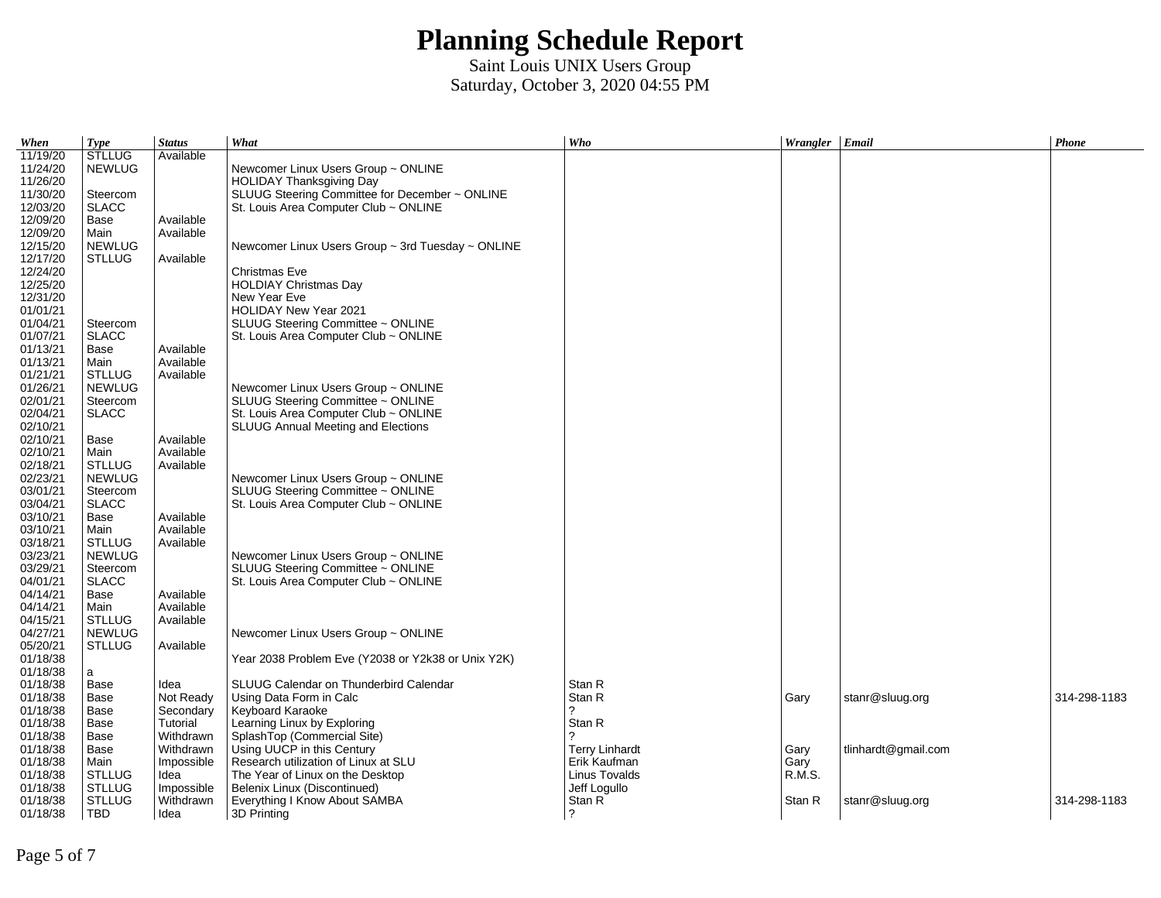| When                 | <b>Type</b>          | <b>Status</b> | What                                                        | Who                   | Wrangler Email |                     | Phone        |
|----------------------|----------------------|---------------|-------------------------------------------------------------|-----------------------|----------------|---------------------|--------------|
| 11/19/20             | <b>STLLUG</b>        | Available     |                                                             |                       |                |                     |              |
| 11/24/20             | <b>NEWLUG</b>        |               | Newcomer Linux Users Group ~ ONLINE                         |                       |                |                     |              |
| 11/26/20             |                      |               | <b>HOLIDAY Thanksgiving Day</b>                             |                       |                |                     |              |
| 11/30/20             | Steercom             |               | SLUUG Steering Committee for December ~ ONLINE              |                       |                |                     |              |
| 12/03/20             | <b>SLACC</b>         |               | St. Louis Area Computer Club ~ ONLINE                       |                       |                |                     |              |
| 12/09/20             | Base                 | Available     |                                                             |                       |                |                     |              |
| 12/09/20             | Main                 | Available     |                                                             |                       |                |                     |              |
| 12/15/20             | <b>NEWLUG</b>        |               | Newcomer Linux Users Group $\sim$ 3rd Tuesday $\sim$ ONLINE |                       |                |                     |              |
| 12/17/20             | <b>STLLUG</b>        | Available     |                                                             |                       |                |                     |              |
| 12/24/20<br>12/25/20 |                      |               | Christmas Eve<br><b>HOLDIAY Christmas Day</b>               |                       |                |                     |              |
| 12/31/20             |                      |               | New Year Eve                                                |                       |                |                     |              |
| 01/01/21             |                      |               | HOLIDAY New Year 2021                                       |                       |                |                     |              |
| 01/04/21             | Steercom             |               | SLUUG Steering Committee ~ ONLINE                           |                       |                |                     |              |
| 01/07/21             | <b>SLACC</b>         |               | St. Louis Area Computer Club $\sim$ ONLINE                  |                       |                |                     |              |
| 01/13/21             | Base                 | Available     |                                                             |                       |                |                     |              |
| 01/13/21             | Main                 | Available     |                                                             |                       |                |                     |              |
| 01/21/21             | <b>STLLUG</b>        | Available     |                                                             |                       |                |                     |              |
| 01/26/21             | <b>NEWLUG</b>        |               | Newcomer Linux Users Group ~ ONLINE                         |                       |                |                     |              |
| 02/01/21             | Steercom             |               | SLUUG Steering Committee ~ ONLINE                           |                       |                |                     |              |
| 02/04/21             | <b>SLACC</b>         |               | St. Louis Area Computer Club ~ ONLINE                       |                       |                |                     |              |
| 02/10/21             |                      |               | SLUUG Annual Meeting and Elections                          |                       |                |                     |              |
| 02/10/21             | Base                 | Available     |                                                             |                       |                |                     |              |
| 02/10/21             | Main                 | Available     |                                                             |                       |                |                     |              |
| 02/18/21             | <b>STLLUG</b>        | Available     |                                                             |                       |                |                     |              |
| 02/23/21             | <b>NEWLUG</b>        |               | Newcomer Linux Users Group ~ ONLINE                         |                       |                |                     |              |
| 03/01/21             | Steercom             |               | SLUUG Steering Committee ~ ONLINE                           |                       |                |                     |              |
| 03/04/21             | <b>SLACC</b>         |               | St. Louis Area Computer Club $\sim$ ONLINE                  |                       |                |                     |              |
| 03/10/21             | Base                 | Available     |                                                             |                       |                |                     |              |
| 03/10/21             | Main                 | Available     |                                                             |                       |                |                     |              |
| 03/18/21             | <b>STLLUG</b>        | Available     |                                                             |                       |                |                     |              |
| 03/23/21             | <b>NEWLUG</b>        |               | Newcomer Linux Users Group ~ ONLINE                         |                       |                |                     |              |
| 03/29/21             | Steercom             |               | SLUUG Steering Committee ~ ONLINE                           |                       |                |                     |              |
| 04/01/21<br>04/14/21 | <b>SLACC</b><br>Base | Available     | St. Louis Area Computer Club $\sim$ ONLINE                  |                       |                |                     |              |
| 04/14/21             | Main                 | Available     |                                                             |                       |                |                     |              |
| 04/15/21             | <b>STLLUG</b>        | Available     |                                                             |                       |                |                     |              |
| 04/27/21             | <b>NEWLUG</b>        |               | Newcomer Linux Users Group ~ ONLINE                         |                       |                |                     |              |
| 05/20/21             | <b>STLLUG</b>        | Available     |                                                             |                       |                |                     |              |
| 01/18/38             |                      |               | Year 2038 Problem Eve (Y2038 or Y2k38 or Unix Y2K)          |                       |                |                     |              |
| 01/18/38             | a                    |               |                                                             |                       |                |                     |              |
| 01/18/38             | Base                 | Idea          | SLUUG Calendar on Thunderbird Calendar                      | Stan R                |                |                     |              |
| 01/18/38             | Base                 | Not Ready     | Using Data Form in Calc                                     | Stan R                | Gary           | stanr@sluug.org     | 314-298-1183 |
| 01/18/38             | Base                 | Secondary     | Keyboard Karaoke                                            | 2                     |                |                     |              |
| 01/18/38             | Base                 | Tutorial      | Learning Linux by Exploring                                 | Stan R                |                |                     |              |
| 01/18/38             | Base                 | Withdrawn     | SplashTop (Commercial Site)                                 | っ                     |                |                     |              |
| 01/18/38             | Base                 | Withdrawn     | Using UUCP in this Century                                  | <b>Terry Linhardt</b> | Gary           | tlinhardt@gmail.com |              |
| 01/18/38             | Main                 | Impossible    | Research utilization of Linux at SLU                        | Erik Kaufman          | Gary           |                     |              |
| 01/18/38             | <b>STLLUG</b>        | Idea          | The Year of Linux on the Desktop                            | Linus Tovalds         | R.M.S.         |                     |              |
| 01/18/38             | <b>STLLUG</b>        | Impossible    | Belenix Linux (Discontinued)                                | Jeff Logullo          |                |                     |              |
| 01/18/38             | <b>STLLUG</b>        | Withdrawn     | Everything I Know About SAMBA                               | Stan R                | Stan R         | stanr@sluug.org     | 314-298-1183 |
| 01/18/38             | <b>TBD</b>           | Idea          | 3D Printing                                                 | ?                     |                |                     |              |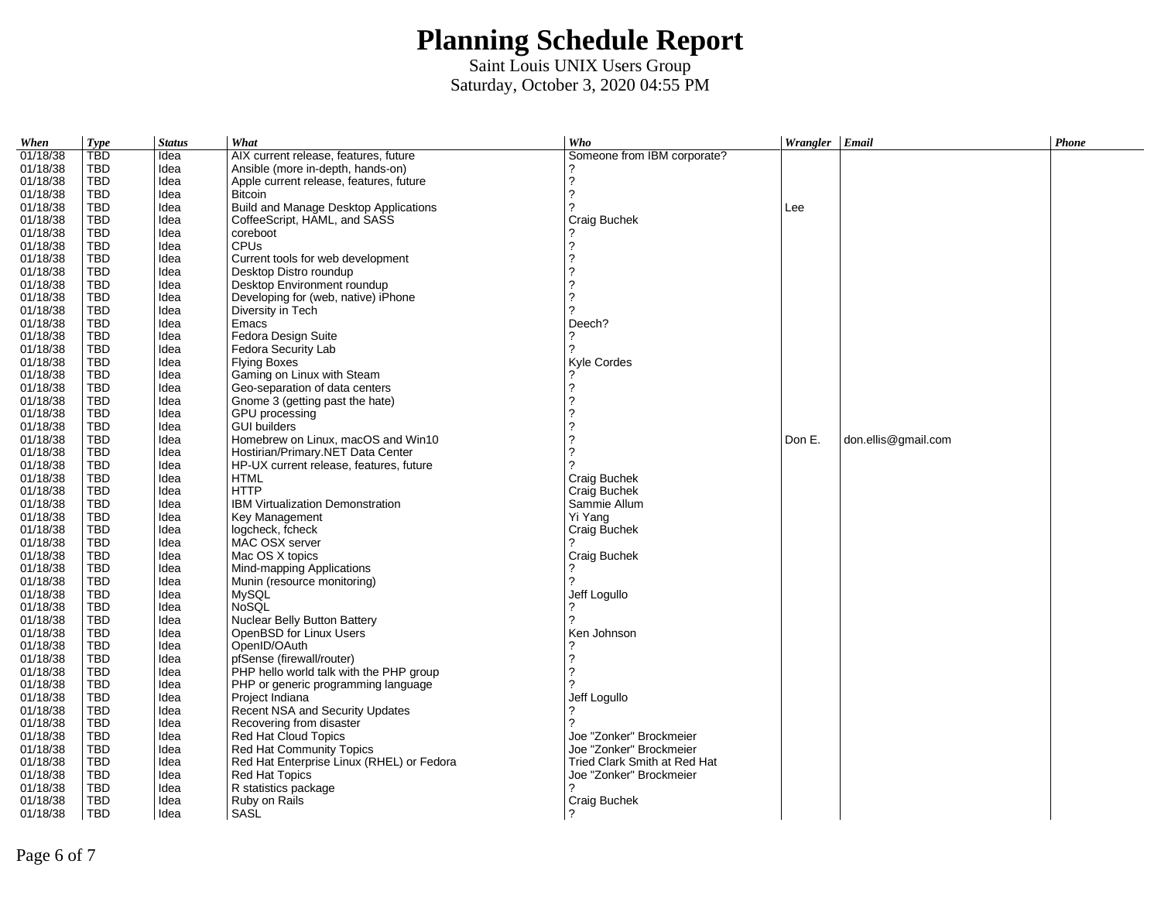| When     | <b>Type</b> | <b>Status</b> | What                                      | Who                          | Wrangler Email |                     | Phone |
|----------|-------------|---------------|-------------------------------------------|------------------------------|----------------|---------------------|-------|
| 01/18/38 | <b>TBD</b>  | Idea          | AIX current release, features, future     | Someone from IBM corporate?  |                |                     |       |
| 01/18/38 | TBD         | Idea          | Ansible (more in-depth, hands-on)         |                              |                |                     |       |
| 01/18/38 | <b>TBD</b>  | Idea          | Apple current release, features, future   | ?                            |                |                     |       |
| 01/18/38 | TBD         | Idea          | <b>Bitcoin</b>                            | 2                            |                |                     |       |
| 01/18/38 | TBD         | Idea          | Build and Manage Desktop Applications     |                              | Lee            |                     |       |
| 01/18/38 | TBD         | Idea          | CoffeeScript, HAML, and SASS              | Craig Buchek                 |                |                     |       |
| 01/18/38 | TBD         | Idea          | coreboot                                  |                              |                |                     |       |
| 01/18/38 | TBD         | Idea          | <b>CPUs</b>                               |                              |                |                     |       |
| 01/18/38 | TBD         | Idea          | Current tools for web development         | 2                            |                |                     |       |
| 01/18/38 | TBD         | Idea          | Desktop Distro roundup                    | 2                            |                |                     |       |
| 01/18/38 | TBD         | Idea          | Desktop Environment roundup               | 2                            |                |                     |       |
| 01/18/38 | <b>TBD</b>  | Idea          | Developing for (web, native) iPhone       | 2                            |                |                     |       |
| 01/18/38 | TBD         | Idea          | Diversity in Tech                         | 2                            |                |                     |       |
| 01/18/38 | TBD         |               | Emacs                                     | Deech?                       |                |                     |       |
| 01/18/38 | <b>TBD</b>  | Idea<br>Idea  |                                           | 2                            |                |                     |       |
|          |             |               | Fedora Design Suite                       |                              |                |                     |       |
| 01/18/38 | TBD         | Idea          | Fedora Security Lab                       |                              |                |                     |       |
| 01/18/38 | <b>TBD</b>  | Idea          | <b>Flying Boxes</b>                       | Kyle Cordes                  |                |                     |       |
| 01/18/38 | <b>TBD</b>  | Idea          | Gaming on Linux with Steam                |                              |                |                     |       |
| 01/18/38 | <b>TBD</b>  | Idea          | Geo-separation of data centers            | 2                            |                |                     |       |
| 01/18/38 | <b>TBD</b>  | Idea          | Gnome 3 (getting past the hate)           | 2                            |                |                     |       |
| 01/18/38 | <b>TBD</b>  | Idea          | <b>GPU</b> processing                     |                              |                |                     |       |
| 01/18/38 | <b>TBD</b>  | Idea          | <b>GUI builders</b>                       | 2                            |                |                     |       |
| 01/18/38 | <b>TBD</b>  | Idea          | Homebrew on Linux, macOS and Win10        | 2                            | Don E.         | don.ellis@gmail.com |       |
| 01/18/38 | <b>TBD</b>  | Idea          | Hostirian/Primary.NET Data Center         | 2                            |                |                     |       |
| 01/18/38 | <b>TBD</b>  | Idea          | HP-UX current release, features, future   |                              |                |                     |       |
| 01/18/38 | <b>TBD</b>  | Idea          | <b>HTML</b>                               | Craig Buchek                 |                |                     |       |
| 01/18/38 | <b>TBD</b>  | Idea          | <b>HTTP</b>                               | Craig Buchek                 |                |                     |       |
| 01/18/38 | <b>TBD</b>  | Idea          | <b>IBM Virtualization Demonstration</b>   | Sammie Allum                 |                |                     |       |
| 01/18/38 | <b>TBD</b>  | Idea          | Key Management                            | Yi Yang                      |                |                     |       |
| 01/18/38 | <b>TBD</b>  | Idea          | logcheck, fcheck                          | Craig Buchek                 |                |                     |       |
| 01/18/38 | <b>TBD</b>  | Idea          | MAC OSX server                            |                              |                |                     |       |
| 01/18/38 | <b>TBD</b>  | Idea          | Mac OS X topics                           | Craig Buchek                 |                |                     |       |
| 01/18/38 | <b>TBD</b>  | Idea          | Mind-mapping Applications                 |                              |                |                     |       |
| 01/18/38 | <b>TBD</b>  | Idea          | Munin (resource monitoring)               | 2                            |                |                     |       |
| 01/18/38 | <b>TBD</b>  | Idea          | <b>MySQL</b>                              | Jeff Logullo                 |                |                     |       |
| 01/18/38 | <b>TBD</b>  | Idea          | <b>NoSOL</b>                              | 2                            |                |                     |       |
| 01/18/38 | <b>TBD</b>  | Idea          | Nuclear Belly Button Battery              | 2                            |                |                     |       |
| 01/18/38 | <b>TBD</b>  | Idea          | OpenBSD for Linux Users                   | Ken Johnson                  |                |                     |       |
| 01/18/38 | <b>TBD</b>  | Idea          | OpenID/OAuth                              |                              |                |                     |       |
| 01/18/38 | <b>TBD</b>  | Idea          | pfSense (firewall/router)                 | 2                            |                |                     |       |
| 01/18/38 | <b>TBD</b>  | Idea          | PHP hello world talk with the PHP group   | 2                            |                |                     |       |
| 01/18/38 | <b>TBD</b>  | Idea          | PHP or generic programming language       |                              |                |                     |       |
| 01/18/38 | <b>TBD</b>  | Idea          | Project Indiana                           | Jeff Logullo                 |                |                     |       |
| 01/18/38 | <b>TBD</b>  | Idea          | Recent NSA and Security Updates           |                              |                |                     |       |
| 01/18/38 | <b>TBD</b>  | Idea          | Recovering from disaster                  | っ                            |                |                     |       |
| 01/18/38 | <b>TBD</b>  | Idea          | Red Hat Cloud Topics                      | Joe "Zonker" Brockmeier      |                |                     |       |
| 01/18/38 | <b>TBD</b>  | Idea          | Red Hat Community Topics                  | Joe "Zonker" Brockmeier      |                |                     |       |
| 01/18/38 | <b>TBD</b>  | Idea          | Red Hat Enterprise Linux (RHEL) or Fedora | Tried Clark Smith at Red Hat |                |                     |       |
| 01/18/38 | <b>TBD</b>  | Idea          | Red Hat Topics                            | Joe "Zonker" Brockmeier      |                |                     |       |
| 01/18/38 | <b>TBD</b>  |               |                                           |                              |                |                     |       |
| 01/18/38 | <b>TBD</b>  | Idea<br>Idea  | R statistics package<br>Ruby on Rails     |                              |                |                     |       |
| 01/18/38 | <b>TBD</b>  |               | SASL                                      | Craig Buchek<br>?            |                |                     |       |
|          |             | Idea          |                                           |                              |                |                     |       |